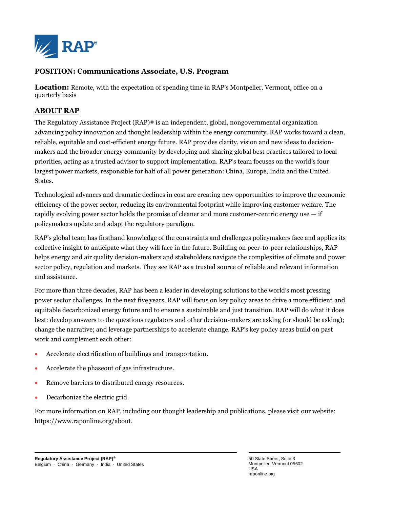

## **POSITION: Communications Associate, U.S. Program**

**Location:** Remote, with the expectation of spending time in RAP's Montpelier, Vermont, office on a quarterly basis

## **ABOUT RAP**

The Regulatory Assistance Project (RAP)® is an independent, global, nongovernmental organization advancing policy innovation and thought leadership within the energy community. RAP works toward a clean, reliable, equitable and cost-efficient energy future. RAP provides clarity, vision and new ideas to decisionmakers and the broader energy community by developing and sharing global best practices tailored to local priorities, acting as a trusted advisor to support implementation. RAP's team focuses on the world's four largest power markets, responsible for half of all power generation: China, Europe, India and the United States.

Technological advances and dramatic declines in cost are creating new opportunities to improve the economic efficiency of the power sector, reducing its environmental footprint while improving customer welfare. The rapidly evolving power sector holds the promise of cleaner and more customer-centric energy use  $-$  if policymakers update and adapt the regulatory paradigm.

RAP's global team has firsthand knowledge of the constraints and challenges policymakers face and applies its collective insight to anticipate what they will face in the future. Building on peer-to-peer relationships, RAP helps energy and air quality decision-makers and stakeholders navigate the complexities of climate and power sector policy, regulation and markets. They see RAP as a trusted source of reliable and relevant information and assistance.

For more than three decades, RAP has been a leader in developing solutions to the world's most pressing power sector challenges. In the next five years, RAP will focus on key policy areas to drive a more efficient and equitable decarbonized energy future and to ensure a sustainable and just transition. RAP will do what it does best: develop answers to the questions regulators and other decision-makers are asking (or should be asking); change the narrative; and leverage partnerships to accelerate change. RAP's key policy areas build on past work and complement each other:

- Accelerate electrification of buildings and transportation.
- Accelerate the phaseout of gas infrastructure.
- Remove barriers to distributed energy resources.
- Decarbonize the electric grid.

For more information on RAP, including our thought leadership and publications, please visit our website: [https://www.raponline.org/about.](https://www.raponline.org/about)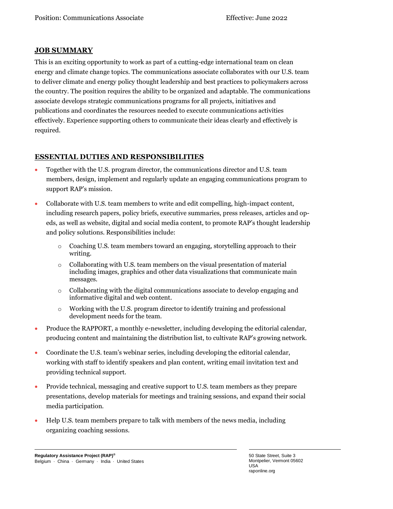## **JOB SUMMARY**

This is an exciting opportunity to work as part of a cutting-edge international team on clean energy and climate change topics. The communications associate collaborates with our U.S. team to deliver climate and energy policy thought leadership and best practices to policymakers across the country. The position requires the ability to be organized and adaptable. The communications associate develops strategic communications programs for all projects, initiatives and publications and coordinates the resources needed to execute communications activities effectively. Experience supporting others to communicate their ideas clearly and effectively is required.

## **ESSENTIAL DUTIES AND RESPONSIBILITIES**

- Together with the U.S. program director, the communications director and U.S. team members, design, implement and regularly update an engaging communications program to support RAP's mission.
- Collaborate with U.S. team members to write and edit compelling, high-impact content, including research papers, policy briefs, executive summaries, press releases, articles and opeds, as well as website, digital and social media content, to promote RAP's thought leadership and policy solutions. Responsibilities include:
	- o Coaching U.S. team members toward an engaging, storytelling approach to their writing.
	- $\circ$  Collaborating with U.S. team members on the visual presentation of material including images, graphics and other data visualizations that communicate main messages.
	- $\circ$  Collaborating with the digital communications associate to develop engaging and informative digital and web content.
	- $\circ$  Working with the U.S. program director to identify training and professional development needs for the team.
- Produce the RAPPORT, a monthly e-newsletter, including developing the editorial calendar, producing content and maintaining the distribution list, to cultivate RAP's growing network.
- Coordinate the U.S. team's webinar series, including developing the editorial calendar, working with staff to identify speakers and plan content, writing email invitation text and providing technical support.
- Provide technical, messaging and creative support to U.S. team members as they prepare presentations, develop materials for meetings and training sessions, and expand their social media participation.
- Help U.S. team members prepare to talk with members of the news media, including organizing coaching sessions.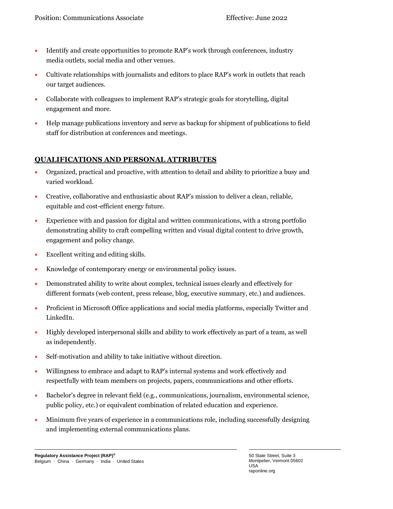- Identify and create opportunities to promote RAP's work through conferences, industry media outlets, social media and other venues.
- Cultivate relationships with journalists and editors to place RAP's work in outlets that reach our target audiences.
- Collaborate with colleagues to implement RAP's strategic goals for storytelling, digital engagement and more.
- Help manage publications inventory and serve as backup for shipment of publications to field staff for distribution at conferences and meetings.

## **QUALIFICATIONS AND PERSONAL ATTRIBUTES**

- Organized, practical and proactive, with attention to detail and ability to prioritize a busy and varied workload.
- Creative, collaborative and enthusiastic about RAP's mission to deliver a clean, reliable, equitable and cost-efficient energy future.
- Experience with and passion for digital and written communications, with a strong portfolio demonstrating ability to craft compelling written and visual digital content to drive growth, engagement and policy change.
- Excellent writing and editing skills.
- Knowledge of contemporary energy or environmental policy issues.
- Demonstrated ability to write about complex, technical issues clearly and effectively for different formats (web content, press release, blog, executive summary, etc.) and audiences.
- Proficient in Microsoft Office applications and social media platforms, especially Twitter and LinkedIn.
- Highly developed interpersonal skills and ability to work effectively as part of a team, as well as independently.
- Self-motivation and ability to take initiative without direction.
- Willingness to embrace and adapt to RAP's internal systems and work effectively and respectfully with team members on projects, papers, communications and other efforts.
- Bachelor's degree in relevant field (e.g., communications, journalism, environmental science, public policy, etc.) or equivalent combination of related education and experience.
- Minimum five years of experience in a communications role, including successfully designing and implementing external communications plans.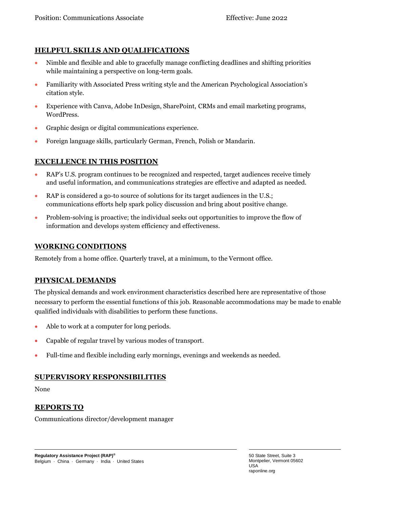# **HELPFUL SKILLS AND QUALIFICATIONS**

- Nimble and flexible and able to gracefully manage conflicting deadlines and shifting priorities while maintaining a perspective on long-term goals.
- Familiarity with Associated Press writing style and the American Psychological Association's citation style.
- Experience with Canva, Adobe InDesign, SharePoint, CRMs and email marketing programs, WordPress.
- Graphic design or digital communications experience.
- Foreign language skills, particularly German, French, Polish or Mandarin.

## **EXCELLENCE IN THIS POSITION**

- RAP's U.S. program continues to be recognized and respected, target audiences receive timely and useful information, and communications strategies are effective and adapted as needed.
- RAP is considered a go-to source of solutions for its target audiences in the U.S.; communications efforts help spark policy discussion and bring about positive change.
- Problem-solving is proactive; the individual seeks out opportunities to improve the flow of information and develops system efficiency and effectiveness.

#### **WORKING CONDITIONS**

Remotely from a home office. Quarterly travel, at a minimum, to the Vermont office.

#### **PHYSICAL DEMANDS**

The physical demands and work environment characteristics described here are representative of those necessary to perform the essential functions of this job. Reasonable accommodations may be made to enable qualified individuals with disabilities to perform these functions.

- Able to work at a computer for long periods.
- Capable of regular travel by various modes of transport.
- Full-time and flexible including early mornings, evenings and weekends as needed.

#### **SUPERVISORY RESPONSIBILITIES**

None

#### **REPORTS TO**

Communications director/development manager